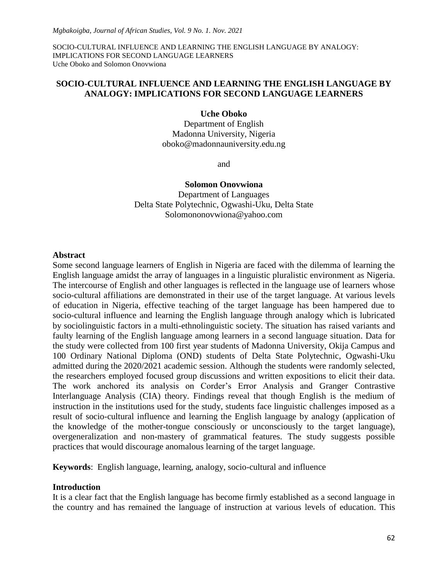## **SOCIO-CULTURAL INFLUENCE AND LEARNING THE ENGLISH LANGUAGE BY ANALOGY: IMPLICATIONS FOR SECOND LANGUAGE LEARNERS**

#### **Uche Oboko**

Department of English Madonna University, Nigeria oboko@madonnauniversity.edu.ng

and

#### **Solomon Onovwiona**

Department of Languages Delta State Polytechnic, Ogwashi-Uku, Delta State [Solomononovwiona@yahoo.com](mailto:Solomononovwiona@yahoo.com)

#### **Abstract**

Some second language learners of English in Nigeria are faced with the dilemma of learning the English language amidst the array of languages in a linguistic pluralistic environment as Nigeria. The intercourse of English and other languages is reflected in the language use of learners whose socio-cultural affiliations are demonstrated in their use of the target language. At various levels of education in Nigeria, effective teaching of the target language has been hampered due to socio-cultural influence and learning the English language through analogy which is lubricated by sociolinguistic factors in a multi-ethnolinguistic society. The situation has raised variants and faulty learning of the English language among learners in a second language situation. Data for the study were collected from 100 first year students of Madonna University, Okija Campus and 100 Ordinary National Diploma (OND) students of Delta State Polytechnic, Ogwashi-Uku admitted during the 2020/2021 academic session. Although the students were randomly selected, the researchers employed focused group discussions and written expositions to elicit their data. The work anchored its analysis on Corder"s Error Analysis and Granger Contrastive Interlanguage Analysis (CIA) theory. Findings reveal that though English is the medium of instruction in the institutions used for the study, students face linguistic challenges imposed as a result of socio-cultural influence and learning the English language by analogy (application of the knowledge of the mother-tongue consciously or unconsciously to the target language), overgeneralization and non-mastery of grammatical features. The study suggests possible practices that would discourage anomalous learning of the target language.

**Keywords**: English language, learning, analogy, socio-cultural and influence

#### **Introduction**

It is a clear fact that the English language has become firmly established as a second language in the country and has remained the language of instruction at various levels of education. This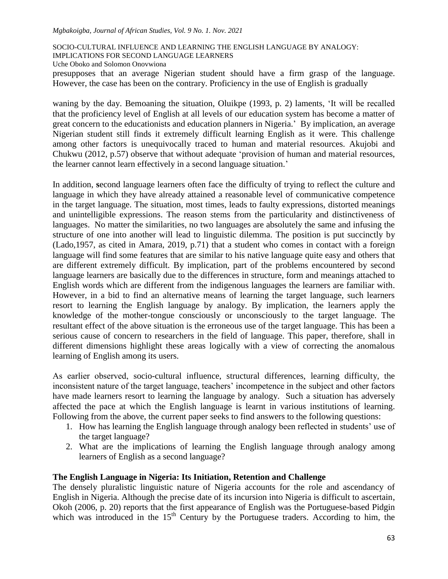#### *Mgbakoigba, Journal of African Studies, Vol. 9 No. 1. Nov. 2021*

SOCIO-CULTURAL INFLUENCE AND LEARNING THE ENGLISH LANGUAGE BY ANALOGY:

IMPLICATIONS FOR SECOND LANGUAGE LEARNERS

Uche Oboko and Solomon Onovwiona

presupposes that an average Nigerian student should have a firm grasp of the language. However, the case has been on the contrary. Proficiency in the use of English is gradually

waning by the day. Bemoaning the situation, Oluikpe (1993, p. 2) laments, "It will be recalled that the proficiency level of English at all levels of our education system has become a matter of great concern to the educationists and education planners in Nigeria." By implication, an average Nigerian student still finds it extremely difficult learning English as it were. This challenge among other factors is unequivocally traced to human and material resources. Akujobi and Chukwu (2012, p.57) observe that without adequate "provision of human and material resources, the learner cannot learn effectively in a second language situation."

In addition, **s**econd language learners often face the difficulty of trying to reflect the culture and language in which they have already attained a reasonable level of communicative competence in the target language. The situation, most times, leads to faulty expressions, distorted meanings and unintelligible expressions. The reason stems from the particularity and distinctiveness of languages. No matter the similarities, no two languages are absolutely the same and infusing the structure of one into another will lead to linguistic dilemma. The position is put succinctly by (Lado,1957, as cited in Amara, 2019, p.71) that a student who comes in contact with a foreign language will find some features that are similar to his native language quite easy and others that are different extremely difficult. By implication, part of the problems encountered by second language learners are basically due to the differences in structure, form and meanings attached to English words which are different from the indigenous languages the learners are familiar with. However, in a bid to find an alternative means of learning the target language, such learners resort to learning the English language by analogy. By implication, the learners apply the knowledge of the mother-tongue consciously or unconsciously to the target language. The resultant effect of the above situation is the erroneous use of the target language. This has been a serious cause of concern to researchers in the field of language. This paper, therefore, shall in different dimensions highlight these areas logically with a view of correcting the anomalous learning of English among its users.

As earlier observed, socio-cultural influence, structural differences, learning difficulty, the inconsistent nature of the target language, teachers' incompetence in the subject and other factors have made learners resort to learning the language by analogy. Such a situation has adversely affected the pace at which the English language is learnt in various institutions of learning. Following from the above, the current paper seeks to find answers to the following questions:

- 1. How has learning the English language through analogy been reflected in students" use of the target language?
- 2. What are the implications of learning the English language through analogy among learners of English as a second language?

# **The English Language in Nigeria: Its Initiation, Retention and Challenge**

The densely pluralistic linguistic nature of Nigeria accounts for the role and ascendancy of English in Nigeria. Although the precise date of its incursion into Nigeria is difficult to ascertain, Okoh (2006, p. 20) reports that the first appearance of English was the Portuguese-based Pidgin which was introduced in the  $15<sup>th</sup>$  Century by the Portuguese traders. According to him, the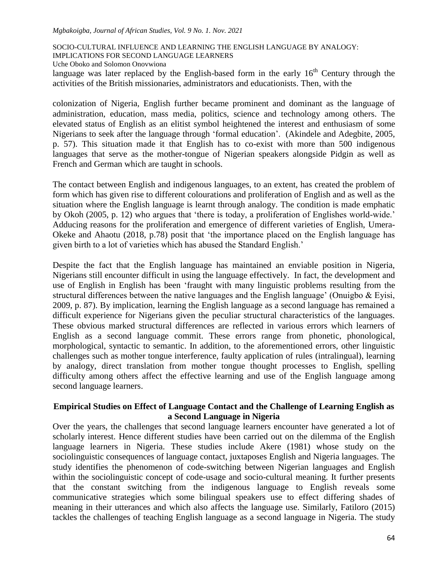#### *Mgbakoigba, Journal of African Studies, Vol. 9 No. 1. Nov. 2021*

SOCIO-CULTURAL INFLUENCE AND LEARNING THE ENGLISH LANGUAGE BY ANALOGY:

IMPLICATIONS FOR SECOND LANGUAGE LEARNERS

Uche Oboko and Solomon Onovwiona

language was later replaced by the English-based form in the early  $16<sup>th</sup>$  Century through the activities of the British missionaries, administrators and educationists. Then, with the

colonization of Nigeria, English further became prominent and dominant as the language of administration, education, mass media, politics, science and technology among others. The elevated status of English as an elitist symbol heightened the interest and enthusiasm of some Nigerians to seek after the language through "formal education". (Akindele and Adegbite, 2005, p. 57). This situation made it that English has to co-exist with more than 500 indigenous languages that serve as the mother-tongue of Nigerian speakers alongside Pidgin as well as French and German which are taught in schools.

The contact between English and indigenous languages, to an extent, has created the problem of form which has given rise to different colourations and proliferation of English and as well as the situation where the English language is learnt through analogy. The condition is made emphatic by Okoh (2005, p. 12) who argues that "there is today, a proliferation of Englishes world-wide." Adducing reasons for the proliferation and emergence of different varieties of English, Umera-Okeke and Ahaotu (2018, p.78) posit that "the importance placed on the English language has given birth to a lot of varieties which has abused the Standard English."

Despite the fact that the English language has maintained an enviable position in Nigeria, Nigerians still encounter difficult in using the language effectively. In fact, the development and use of English in English has been "fraught with many linguistic problems resulting from the structural differences between the native languages and the English language" (Onuigbo & Eyisi, 2009, p. 87). By implication, learning the English language as a second language has remained a difficult experience for Nigerians given the peculiar structural characteristics of the languages. These obvious marked structural differences are reflected in various errors which learners of English as a second language commit. These errors range from phonetic, phonological, morphological, syntactic to semantic. In addition, to the aforementioned errors, other linguistic challenges such as mother tongue interference, faulty application of rules (intralingual), learning by analogy, direct translation from mother tongue thought processes to English, spelling difficulty among others affect the effective learning and use of the English language among second language learners.

# **Empirical Studies on Effect of Language Contact and the Challenge of Learning English as a Second Language in Nigeria**

Over the years, the challenges that second language learners encounter have generated a lot of scholarly interest. Hence different studies have been carried out on the dilemma of the English language learners in Nigeria. These studies include Akere (1981) whose study on the sociolinguistic consequences of language contact, juxtaposes English and Nigeria languages. The study identifies the phenomenon of code-switching between Nigerian languages and English within the sociolinguistic concept of code-usage and socio-cultural meaning. It further presents that the constant switching from the indigenous language to English reveals some communicative strategies which some bilingual speakers use to effect differing shades of meaning in their utterances and which also affects the language use. Similarly, Fatiloro (2015) tackles the challenges of teaching English language as a second language in Nigeria. The study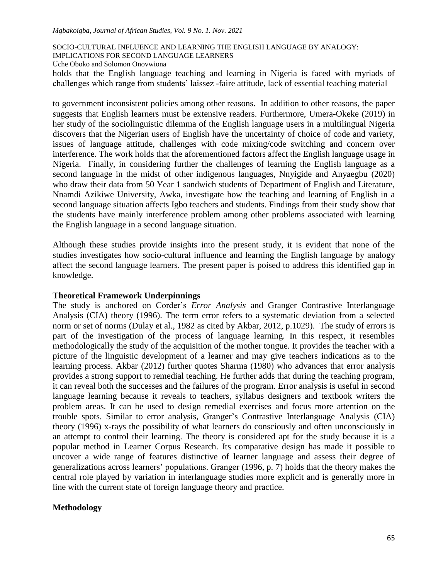#### *Mgbakoigba, Journal of African Studies, Vol. 9 No. 1. Nov. 2021*

#### SOCIO-CULTURAL INFLUENCE AND LEARNING THE ENGLISH LANGUAGE BY ANALOGY:

IMPLICATIONS FOR SECOND LANGUAGE LEARNERS

Uche Oboko and Solomon Onovwiona

holds that the English language teaching and learning in Nigeria is faced with myriads of challenges which range from students" laissez -faire attitude, lack of essential teaching material

to government inconsistent policies among other reasons. In addition to other reasons, the paper suggests that English learners must be extensive readers. Furthermore, Umera-Okeke (2019) in her study of the sociolinguistic dilemma of the English language users in a multilingual Nigeria discovers that the Nigerian users of English have the uncertainty of choice of code and variety, issues of language attitude, challenges with code mixing/code switching and concern over interference. The work holds that the aforementioned factors affect the English language usage in Nigeria. Finally, in considering further the challenges of learning the English language as a second language in the midst of other indigenous languages, Nnyigide and Anyaegbu (2020) who draw their data from 50 Year 1 sandwich students of Department of English and Literature, Nnamdi Azikiwe University, Awka, investigate how the teaching and learning of English in a second language situation affects Igbo teachers and students. Findings from their study show that the students have mainly interference problem among other problems associated with learning the English language in a second language situation.

Although these studies provide insights into the present study, it is evident that none of the studies investigates how socio-cultural influence and learning the English language by analogy affect the second language learners. The present paper is poised to address this identified gap in knowledge.

### **Theoretical Framework Underpinnings**

The study is anchored on Corder"s *Error Analysis* and Granger Contrastive Interlanguage Analysis (CIA) theory (1996). The term error refers to a systematic deviation from a selected norm or set of norms (Dulay et al., 1982 as cited by Akbar, 2012, p.1029). The study of errors is part of the investigation of the process of language learning. In this respect, it resembles methodologically the study of the acquisition of the mother tongue. It provides the teacher with a picture of the linguistic development of a learner and may give teachers indications as to the learning process. Akbar (2012) further quotes Sharma (1980) who advances that error analysis provides a strong support to remedial teaching. He further adds that during the teaching program, it can reveal both the successes and the failures of the program. Error analysis is useful in second language learning because it reveals to teachers, syllabus designers and textbook writers the problem areas. It can be used to design remedial exercises and focus more attention on the trouble spots. Similar to error analysis, Granger"s Contrastive Interlanguage Analysis (CIA) theory (1996) x-rays the possibility of what learners do consciously and often unconsciously in an attempt to control their learning. The theory is considered apt for the study because it is a popular method in Learner Corpus Research. Its comparative design has made it possible to uncover a wide range of features distinctive of learner language and assess their degree of generalizations across learners" populations. Granger (1996, p. 7) holds that the theory makes the central role played by variation in interlanguage studies more explicit and is generally more in line with the current state of foreign language theory and practice.

# **Methodology**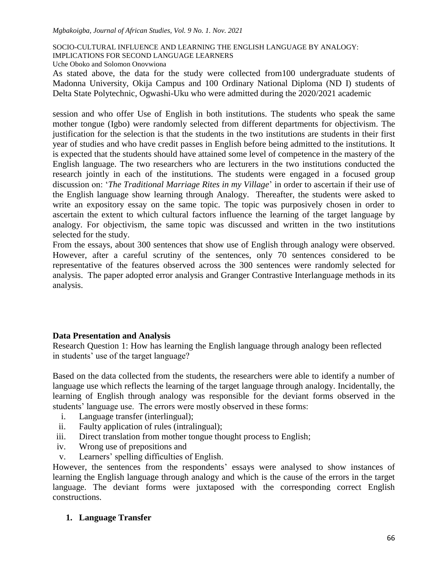IMPLICATIONS FOR SECOND LANGUAGE LEARNERS

Uche Oboko and Solomon Onovwiona

As stated above, the data for the study were collected from100 undergraduate students of Madonna University, Okija Campus and 100 Ordinary National Diploma (ND I) students of Delta State Polytechnic, Ogwashi-Uku who were admitted during the 2020/2021 academic

session and who offer Use of English in both institutions. The students who speak the same mother tongue (Igbo) were randomly selected from different departments for objectivism. The justification for the selection is that the students in the two institutions are students in their first year of studies and who have credit passes in English before being admitted to the institutions. It is expected that the students should have attained some level of competence in the mastery of the English language. The two researchers who are lecturers in the two institutions conducted the research jointly in each of the institutions. The students were engaged in a focused group discussion on: "*The Traditional Marriage Rites in my Village*" in order to ascertain if their use of the English language show learning through Analogy. Thereafter, the students were asked to write an expository essay on the same topic. The topic was purposively chosen in order to ascertain the extent to which cultural factors influence the learning of the target language by analogy. For objectivism, the same topic was discussed and written in the two institutions selected for the study.

From the essays, about 300 sentences that show use of English through analogy were observed. However, after a careful scrutiny of the sentences, only 70 sentences considered to be representative of the features observed across the 300 sentences were randomly selected for analysis. The paper adopted error analysis and Granger Contrastive Interlanguage methods in its analysis.

# **Data Presentation and Analysis**

Research Question 1: How has learning the English language through analogy been reflected in students' use of the target language?

Based on the data collected from the students, the researchers were able to identify a number of language use which reflects the learning of the target language through analogy. Incidentally, the learning of English through analogy was responsible for the deviant forms observed in the students' language use. The errors were mostly observed in these forms:

- i. Language transfer (interlingual);
- ii. Faulty application of rules (intralingual);
- iii. Direct translation from mother tongue thought process to English;
- iv. Wrong use of prepositions and
- v. Learners" spelling difficulties of English.

However, the sentences from the respondents' essays were analysed to show instances of learning the English language through analogy and which is the cause of the errors in the target language. The deviant forms were juxtaposed with the corresponding correct English constructions.

# **1. Language Transfer**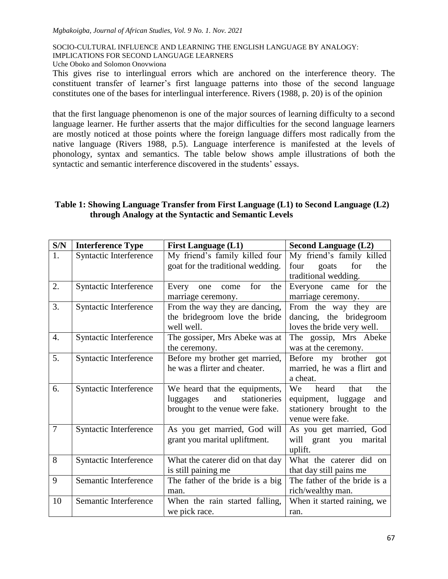SOCIO-CULTURAL INFLUENCE AND LEARNING THE ENGLISH LANGUAGE BY ANALOGY: IMPLICATIONS FOR SECOND LANGUAGE LEARNERS

Uche Oboko and Solomon Onovwiona

This gives rise to interlingual errors which are anchored on the interference theory. The constituent transfer of learner"s first language patterns into those of the second language constitutes one of the bases for interlingual interference. Rivers (1988, p. 20) is of the opinion

that the first language phenomenon is one of the major sources of learning difficulty to a second language learner. He further asserts that the major difficulties for the second language learners are mostly noticed at those points where the foreign language differs most radically from the native language (Rivers 1988, p.5). Language interference is manifested at the levels of phonology, syntax and semantics. The table below shows ample illustrations of both the syntactic and semantic interference discovered in the students' essays.

# **Table 1: Showing Language Transfer from First Language (L1) to Second Language (L2) through Analogy at the Syntactic and Semantic Levels**

| S/N              | <b>Interference Type</b> | <b>First Language (L1)</b>                                                                          | <b>Second Language (L2)</b>                                                                              |  |  |
|------------------|--------------------------|-----------------------------------------------------------------------------------------------------|----------------------------------------------------------------------------------------------------------|--|--|
| 1.               | Syntactic Interference   | My friend's family killed four<br>goat for the traditional wedding.                                 | My friend's family killed<br>four<br>for<br>goats<br>the<br>traditional wedding.                         |  |  |
| 2.               | Syntactic Interference   | for<br>the<br>Every<br>one<br>come<br>marriage ceremony.                                            | Everyone came for the<br>marriage ceremony.                                                              |  |  |
| 3.               | Syntactic Interference   | From the way they are dancing,<br>the bridegroom love the bride<br>well well.                       | From the way they are<br>dancing, the bridegroom<br>loves the bride very well.                           |  |  |
| $\overline{4}$ . | Syntactic Interference   | The gossiper, Mrs Abeke was at<br>the ceremony.                                                     | The gossip, Mrs Abeke<br>was at the ceremony.                                                            |  |  |
| 5.               | Syntactic Interference   | Before my brother get married,<br>he was a flirter and cheater.                                     | Before my brother got<br>married, he was a flirt and<br>a cheat.                                         |  |  |
| 6.               | Syntactic Interference   | We heard that the equipments,<br>stationeries<br>and<br>luggages<br>brought to the venue were fake. | We<br>heard<br>that<br>the<br>equipment, luggage<br>and<br>stationery brought to the<br>venue were fake. |  |  |
| $\overline{7}$   | Syntactic Interference   | As you get married, God will<br>grant you marital upliftment.                                       | As you get married, God<br>will grant<br>you<br>marital<br>uplift.                                       |  |  |
| 8                | Syntactic Interference   | What the caterer did on that day<br>is still paining me                                             | What the caterer did on<br>that day still pains me                                                       |  |  |
| 9                | Semantic Interference    | The father of the bride is a big<br>man.                                                            | The father of the bride is a<br>rich/wealthy man.                                                        |  |  |
| 10               | Semantic Interference    | When the rain started falling,<br>we pick race.                                                     | When it started raining, we<br>ran.                                                                      |  |  |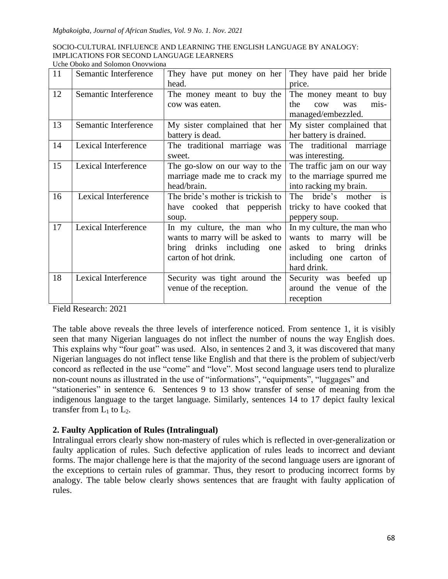| SOCIO-CULTURAL INFLUENCE AND LEARNING THE ENGLISH LANGUAGE BY ANALOGY: |
|------------------------------------------------------------------------|
| IMPLICATIONS FOR SECOND LANGUAGE LEARNERS                              |
| Uche Oboko and Solomon Onovwiona                                       |

| 11 | Semantic Interference | They have put money on her        | They have paid her bride              |
|----|-----------------------|-----------------------------------|---------------------------------------|
|    |                       | head.                             | price.                                |
| 12 | Semantic Interference | The money meant to buy the        | The money meant to buy                |
|    |                       | cow was eaten.                    | the<br>mis-<br>$_{\text{cow}}$<br>was |
|    |                       |                                   | managed/embezzled.                    |
| 13 | Semantic Interference | My sister complained that her     | My sister complained that             |
|    |                       | battery is dead.                  | her battery is drained.               |
| 14 | Lexical Interference  | The traditional marriage was      | The traditional marriage              |
|    |                       | sweet.                            | was interesting.                      |
| 15 | Lexical Interference  | The go-slow on our way to the     | The traffic jam on our way            |
|    |                       | marriage made me to crack my      | to the marriage spurred me            |
|    |                       | head/brain.                       | into racking my brain.                |
| 16 | Lexical Interference  | The bride's mother is trickish to | The bride's mother is                 |
|    |                       | have cooked that pepperish        | tricky to have cooked that            |
|    |                       | soup.                             | peppery soup.                         |
| 17 | Lexical Interference  | In my culture, the man who        | In my culture, the man who            |
|    |                       | wants to marry will be asked to   | wants to marry will be                |
|    |                       | bring drinks including<br>one     | asked to bring drinks                 |
|    |                       | carton of hot drink.              | including one carton of               |
|    |                       |                                   | hard drink.                           |
| 18 | Lexical Interference  | Security was tight around the     | Security was beefed up                |
|    |                       | venue of the reception.           | around the venue of the               |
|    |                       |                                   | reception                             |

Field Research: 2021

The table above reveals the three levels of interference noticed. From sentence 1, it is visibly seen that many Nigerian languages do not inflect the number of nouns the way English does. This explains why "four goat" was used. Also, in sentences 2 and 3, it was discovered that many Nigerian languages do not inflect tense like English and that there is the problem of subject/verb concord as reflected in the use "come" and "love". Most second language users tend to pluralize non-count nouns as illustrated in the use of "informations", "equipments", "luggages" and "stationeries" in sentence 6. Sentences 9 to 13 show transfer of sense of meaning from the indigenous language to the target language. Similarly, sentences 14 to 17 depict faulty lexical transfer from  $L_1$  to  $L_2$ .

# **2. Faulty Application of Rules (Intralingual)**

Intralingual errors clearly show non-mastery of rules which is reflected in over-generalization or faulty application of rules. Such defective application of rules leads to incorrect and deviant forms. The major challenge here is that the majority of the second language users are ignorant of the exceptions to certain rules of grammar. Thus, they resort to producing incorrect forms by analogy. The table below clearly shows sentences that are fraught with faulty application of rules.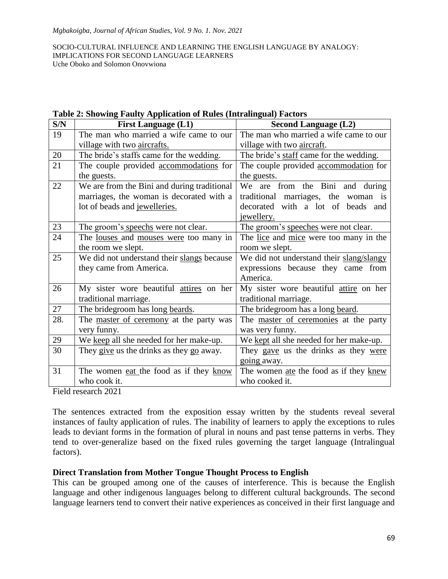| S/N | <b>First Language (L1)</b>                    | 0<br><b>Second Language (L2)</b>              |  |  |
|-----|-----------------------------------------------|-----------------------------------------------|--|--|
| 19  | The man who married a wife came to our        | The man who married a wife came to our        |  |  |
|     | village with two aircrafts.                   | village with two aircraft.                    |  |  |
| 20  | The bride's staffs came for the wedding.      | The bride's staff came for the wedding.       |  |  |
| 21  | The couple provided accommodations for        | The couple provided accommodation for         |  |  |
|     | the guests.                                   | the guests.                                   |  |  |
| 22  | We are from the Bini and during traditional   | We are from the Bini and during               |  |  |
|     | marriages, the woman is decorated with a      | traditional marriages, the woman is           |  |  |
|     | lot of beads and jewelleries.                 | decorated with a lot of beads and             |  |  |
|     |                                               | jewellery.                                    |  |  |
| 23  | The groom's speechs were not clear.           | The groom's speeches were not clear.          |  |  |
| 24  | The <u>louses</u> and mouses were too many in | The <u>lice</u> and mice were too many in the |  |  |
|     | the room we slept.                            | room we slept.                                |  |  |
| 25  | We did not understand their slangs because    | We did not understand their slang/slangy      |  |  |
|     | they came from America.                       | expressions because they came from            |  |  |
|     |                                               | America.                                      |  |  |
| 26  | My sister wore beautiful attires on her       | My sister wore beautiful attire on her        |  |  |
|     | traditional marriage.                         | traditional marriage.                         |  |  |
| 27  | The bridegroom has long beards.               | The bridegroom has a long beard.              |  |  |
| 28. | The master of ceremony at the party was       | The master of ceremonies at the party         |  |  |
|     | very funny.                                   | was very funny.                               |  |  |
| 29  | We keep all she needed for her make-up.       | We kept all she needed for her make-up.       |  |  |
| 30  | They give us the drinks as they go away.      | They gave us the drinks as they were          |  |  |
|     |                                               | going away.                                   |  |  |
| 31  | The women eat the food as if they know        | The women ate the food as if they knew        |  |  |
|     | who cook it.                                  | who cooked it.                                |  |  |

**Table 2: Showing Faulty Application of Rules (Intralingual) Factors**

Field research 2021

The sentences extracted from the exposition essay written by the students reveal several instances of faulty application of rules. The inability of learners to apply the exceptions to rules leads to deviant forms in the formation of plural in nouns and past tense patterns in verbs. They tend to over-generalize based on the fixed rules governing the target language (Intralingual factors).

# **Direct Translation from Mother Tongue Thought Process to English**

This can be grouped among one of the causes of interference. This is because the English language and other indigenous languages belong to different cultural backgrounds. The second language learners tend to convert their native experiences as conceived in their first language and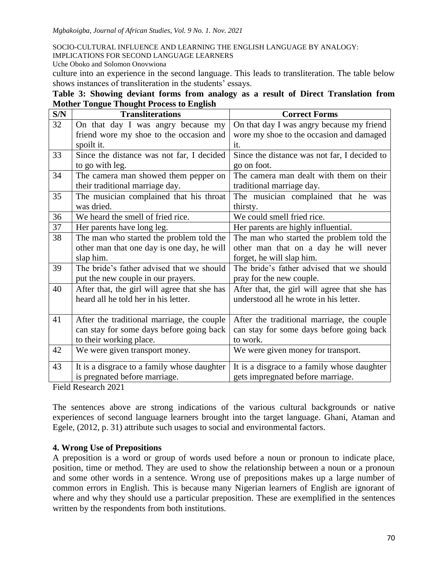IMPLICATIONS FOR SECOND LANGUAGE LEARNERS

Uche Oboko and Solomon Onovwiona

culture into an experience in the second language. This leads to transliteration. The table below shows instances of transliteration in the students' essays.

| Table 3: Showing deviant forms from analogy as a result of Direct Translation from |  |  |  |  |
|------------------------------------------------------------------------------------|--|--|--|--|
| <b>Mother Tongue Thought Process to English</b>                                    |  |  |  |  |

| S/N | <b>Transliterations</b>                      | <b>Correct Forms</b>                         |  |  |
|-----|----------------------------------------------|----------------------------------------------|--|--|
| 32  | On that day I was angry because my           | On that day I was angry because my friend    |  |  |
|     | friend wore my shoe to the occasion and      | wore my shoe to the occasion and damaged     |  |  |
|     | spoilt it.                                   | it.                                          |  |  |
| 33  | Since the distance was not far, I decided    | Since the distance was not far, I decided to |  |  |
|     | to go with leg.                              | go on foot.                                  |  |  |
| 34  | The camera man showed them pepper on         | The camera man dealt with them on their      |  |  |
|     | their traditional marriage day.              | traditional marriage day.                    |  |  |
| 35  | The musician complained that his throat      | The musician complained that he was          |  |  |
|     | was dried.                                   | thirsty.                                     |  |  |
| 36  | We heard the smell of fried rice.            | We could smell fried rice.                   |  |  |
| 37  | Her parents have long leg.                   | Her parents are highly influential.          |  |  |
| 38  | The man who started the problem told the     | The man who started the problem told the     |  |  |
|     | other man that one day is one day, he will   | other man that on a day he will never        |  |  |
|     | slap him.                                    | forget, he will slap him.                    |  |  |
| 39  | The bride's father advised that we should    | The bride's father advised that we should    |  |  |
|     | put the new couple in our prayers.           | pray for the new couple.                     |  |  |
| 40  | After that, the girl will agree that she has | After that, the girl will agree that she has |  |  |
|     | heard all he told her in his letter.         | understood all he wrote in his letter.       |  |  |
|     |                                              |                                              |  |  |
| 41  | After the traditional marriage, the couple   | After the traditional marriage, the couple   |  |  |
|     | can stay for some days before going back     | can stay for some days before going back     |  |  |
|     | to their working place.                      | to work.                                     |  |  |
| 42  | We were given transport money.               | We were given money for transport.           |  |  |
| 43  | It is a disgrace to a family whose daughter  | It is a disgrace to a family whose daughter  |  |  |
|     | is pregnated before marriage.                | gets impregnated before marriage.            |  |  |

Field Research 2021

The sentences above are strong indications of the various cultural backgrounds or native experiences of second language learners brought into the target language. Ghani, Ataman and Egele, (2012, p. 31) attribute such usages to social and environmental factors.

# **4. Wrong Use of Prepositions**

A preposition is a word or group of words used before a noun or pronoun to indicate place, position, time or method. They are used to show the relationship between a noun or a pronoun and some other words in a sentence. Wrong use of prepositions makes up a large number of common errors in English. This is because many Nigerian learners of English are ignorant of where and why they should use a particular preposition. These are exemplified in the sentences written by the respondents from both institutions.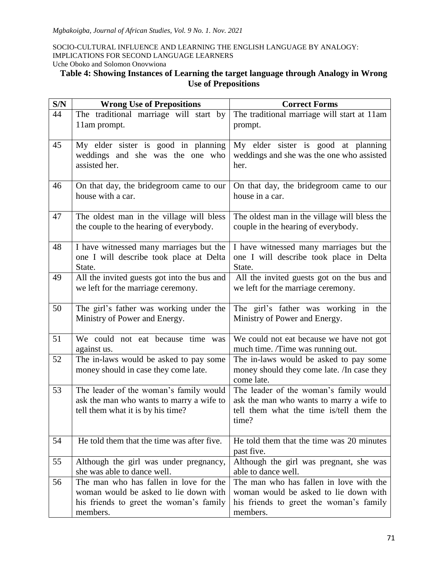# **Table 4: Showing Instances of Learning the target language through Analogy in Wrong Use of Prepositions**

| S/N | <b>Wrong Use of Prepositions</b>                                                                                                       | <b>Correct Forms</b>                                                                                                                    |  |  |
|-----|----------------------------------------------------------------------------------------------------------------------------------------|-----------------------------------------------------------------------------------------------------------------------------------------|--|--|
| 44  | The traditional marriage will start by<br>11am prompt.                                                                                 | The traditional marriage will start at 11am<br>prompt.                                                                                  |  |  |
| 45  | My elder sister is good in planning<br>weddings and she was the one who<br>assisted her.                                               | My elder sister is good at planning<br>weddings and she was the one who assisted<br>her.                                                |  |  |
| 46  | On that day, the bridegroom came to our<br>house with a car.                                                                           | On that day, the bridegroom came to our<br>house in a car.                                                                              |  |  |
| 47  | The oldest man in the village will bless<br>the couple to the hearing of everybody.                                                    | The oldest man in the village will bless the<br>couple in the hearing of everybody.                                                     |  |  |
| 48  | I have witnessed many marriages but the<br>one I will describe took place at Delta<br>State.                                           | I have witnessed many marriages but the<br>one I will describe took place in Delta<br>State.                                            |  |  |
| 49  | All the invited guests got into the bus and<br>we left for the marriage ceremony.                                                      | All the invited guests got on the bus and<br>we left for the marriage ceremony.                                                         |  |  |
| 50  | The girl's father was working under the<br>Ministry of Power and Energy.                                                               | The girl's father was working in the<br>Ministry of Power and Energy.                                                                   |  |  |
| 51  | We could not eat because time was<br>against us.                                                                                       | We could not eat because we have not got<br>much time. /Time was running out.                                                           |  |  |
| 52  | The in-laws would be asked to pay some<br>money should in case they come late.                                                         | The in-laws would be asked to pay some<br>money should they come late. /In case they<br>come late.                                      |  |  |
| 53  | The leader of the woman's family would<br>ask the man who wants to marry a wife to<br>tell them what it is by his time?                | The leader of the woman's family would<br>ask the man who wants to marry a wife to<br>tell them what the time is/tell them the<br>time? |  |  |
| 54  | He told them that the time was after five.                                                                                             | He told them that the time was 20 minutes<br>past five.                                                                                 |  |  |
| 55  | Although the girl was under pregnancy,<br>she was able to dance well.                                                                  | Although the girl was pregnant, she was<br>able to dance well.                                                                          |  |  |
| 56  | The man who has fallen in love for the<br>woman would be asked to lie down with<br>his friends to greet the woman's family<br>members. | The man who has fallen in love with the<br>woman would be asked to lie down with<br>his friends to greet the woman's family<br>members. |  |  |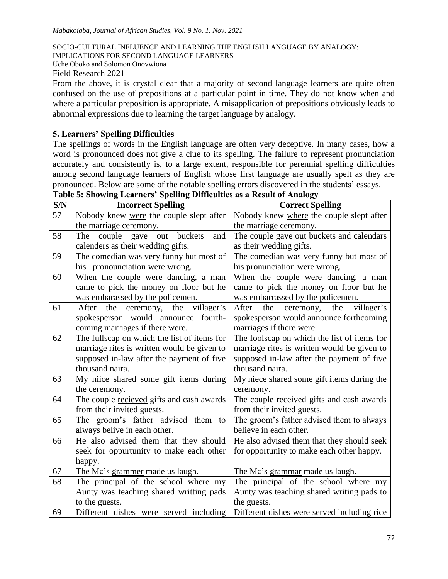IMPLICATIONS FOR SECOND LANGUAGE LEARNERS

Uche Oboko and Solomon Onovwiona

Field Research 2021

From the above, it is crystal clear that a majority of second language learners are quite often confused on the use of prepositions at a particular point in time. They do not know when and where a particular preposition is appropriate. A misapplication of prepositions obviously leads to abnormal expressions due to learning the target language by analogy.

# **5. Learners' Spelling Difficulties**

The spellings of words in the English language are often very deceptive. In many cases, how a word is pronounced does not give a clue to its spelling. The failure to represent pronunciation accurately and consistently is, to a large extent, responsible for perennial spelling difficulties among second language learners of English whose first language are usually spelt as they are pronounced. Below are some of the notable spelling errors discovered in the students" essays.

| S/N | <b>Incorrect Spelling</b>                   | <b>Correct Spelling</b>                        |  |
|-----|---------------------------------------------|------------------------------------------------|--|
| 57  | Nobody knew were the couple slept after     | Nobody knew where the couple slept after       |  |
|     | the marriage ceremony.                      | the marriage ceremony.                         |  |
| 58  | couple gave<br>The<br>out<br>buckets<br>and | The couple gave out buckets and calendars      |  |
|     | calenders as their wedding gifts.           | as their wedding gifts.                        |  |
| 59  | The comedian was very funny but most of     | The comedian was very funny but most of        |  |
|     | his pronounciation were wrong.              | his pronunciation were wrong.                  |  |
| 60  | When the couple were dancing, a man         | When the couple were dancing, a man            |  |
|     | came to pick the money on floor but he      | came to pick the money on floor but he         |  |
|     | was embarassed by the policemen.            | was embarrassed by the policemen.              |  |
| 61  | villager's<br>ceremony, the<br>After<br>the | villager's<br>ceremony,<br>the<br>After<br>the |  |
|     | spokesperson would announce fourth-         | spokesperson would announce forthcoming        |  |
|     | coming marriages if there were.             | marriages if there were.                       |  |
| 62  | The fullscap on which the list of items for | The foolscap on which the list of items for    |  |
|     | marriage rites is written would be given to | marriage rites is written would be given to    |  |
|     | supposed in-law after the payment of five   | supposed in-law after the payment of five      |  |
|     | thousand naira.                             | thousand naira.                                |  |
| 63  | My niice shared some gift items during      | My niece shared some gift items during the     |  |
|     | the ceremony.                               | ceremony.                                      |  |
| 64  | The couple recieved gifts and cash awards   | The couple received gifts and cash awards      |  |
|     | from their invited guests.                  | from their invited guests.                     |  |
| 65  | The groom's father advised them to          | The groom's father advised them to always      |  |
|     | always belive in each other.                | believe in each other.                         |  |
| 66  | He also advised them that they should       | He also advised them that they should seek     |  |
|     | seek for oppurtunity to make each other     | for opportunity to make each other happy.      |  |
|     | happy.                                      |                                                |  |
| 67  | The Mc's grammer made us laugh.             | The Mc's grammar made us laugh.                |  |
| 68  | The principal of the school where my        | The principal of the school where my           |  |
|     | Aunty was teaching shared writting pads     | Aunty was teaching shared writing pads to      |  |
|     | to the guests.                              | the guests.                                    |  |
| 69  | Different dishes were served including      | Different dishes were served including rice    |  |

**Table 5: Showing Learners' Spelling Difficulties as a Result of Analogy**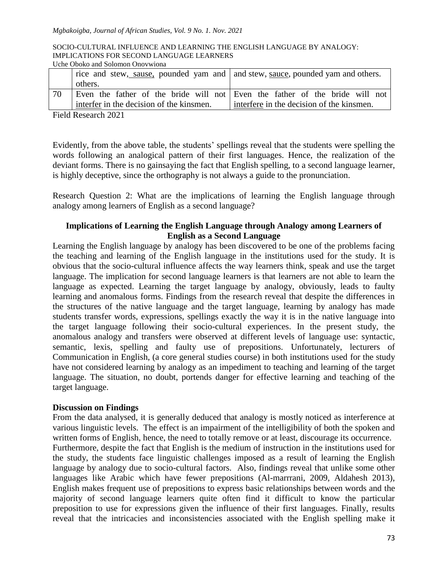|                                                            | <u>ovno obono ana bonomon ono eviona</u>                                         |                                                                             |  |
|------------------------------------------------------------|----------------------------------------------------------------------------------|-----------------------------------------------------------------------------|--|
|                                                            | rice and stew, sause, pounded yam and   and stew, sauce, pounded yam and others. |                                                                             |  |
|                                                            | others.                                                                          |                                                                             |  |
| 70                                                         |                                                                                  | Even the father of the bride will not Even the father of the bride will not |  |
|                                                            | interfer in the decision of the kinsmen.                                         | interfere in the decision of the kinsmen.                                   |  |
| $\sim$ $\sim$ $\sim$ $\sim$<br>$\mathbf{m}$ . $\mathbf{m}$ |                                                                                  |                                                                             |  |

Field Research 2021

Evidently, from the above table, the students" spellings reveal that the students were spelling the words following an analogical pattern of their first languages. Hence, the realization of the deviant forms. There is no gainsaying the fact that English spelling, to a second language learner, is highly deceptive, since the orthography is not always a guide to the pronunciation.

Research Question 2: What are the implications of learning the English language through analogy among learners of English as a second language?

# **Implications of Learning the English Language through Analogy among Learners of English as a Second Language**

Learning the English language by analogy has been discovered to be one of the problems facing the teaching and learning of the English language in the institutions used for the study. It is obvious that the socio-cultural influence affects the way learners think, speak and use the target language. The implication for second language learners is that learners are not able to learn the language as expected. Learning the target language by analogy, obviously, leads to faulty learning and anomalous forms. Findings from the research reveal that despite the differences in the structures of the native language and the target language, learning by analogy has made students transfer words, expressions, spellings exactly the way it is in the native language into the target language following their socio-cultural experiences. In the present study, the anomalous analogy and transfers were observed at different levels of language use: syntactic, semantic, lexis, spelling and faulty use of prepositions. Unfortunately, lecturers of Communication in English, (a core general studies course) in both institutions used for the study have not considered learning by analogy as an impediment to teaching and learning of the target language. The situation, no doubt, portends danger for effective learning and teaching of the target language.

# **Discussion on Findings**

From the data analysed, it is generally deduced that analogy is mostly noticed as interference at various linguistic levels. The effect is an impairment of the intelligibility of both the spoken and written forms of English, hence, the need to totally remove or at least, discourage its occurrence. Furthermore, despite the fact that English is the medium of instruction in the institutions used for the study, the students face linguistic challenges imposed as a result of learning the English language by analogy due to socio-cultural factors. Also, findings reveal that unlike some other languages like Arabic which have fewer prepositions (Al-marrrani, 2009, Aldahesh 2013), English makes frequent use of prepositions to express basic relationships between words and the majority of second language learners quite often find it difficult to know the particular preposition to use for expressions given the influence of their first languages. Finally, results reveal that the intricacies and inconsistencies associated with the English spelling make it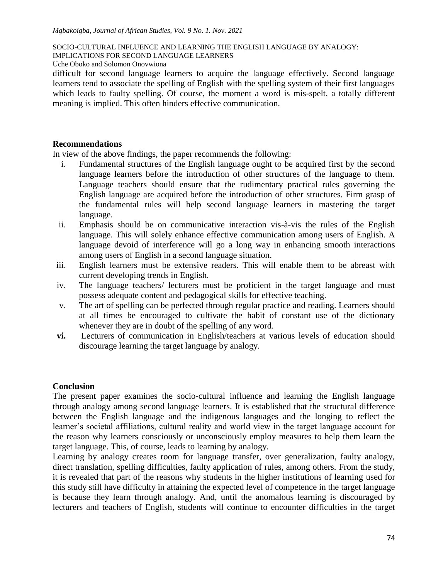IMPLICATIONS FOR SECOND LANGUAGE LEARNERS

Uche Oboko and Solomon Onovwiona

difficult for second language learners to acquire the language effectively. Second language learners tend to associate the spelling of English with the spelling system of their first languages which leads to faulty spelling. Of course, the moment a word is mis-spelt, a totally different meaning is implied. This often hinders effective communication.

## **Recommendations**

In view of the above findings, the paper recommends the following:

- i. Fundamental structures of the English language ought to be acquired first by the second language learners before the introduction of other structures of the language to them. Language teachers should ensure that the rudimentary practical rules governing the English language are acquired before the introduction of other structures. Firm grasp of the fundamental rules will help second language learners in mastering the target language.
- ii. Emphasis should be on communicative interaction vis-à-vis the rules of the English language. This will solely enhance effective communication among users of English. A language devoid of interference will go a long way in enhancing smooth interactions among users of English in a second language situation.
- iii. English learners must be extensive readers. This will enable them to be abreast with current developing trends in English.
- iv. The language teachers/ lecturers must be proficient in the target language and must possess adequate content and pedagogical skills for effective teaching.
- v. The art of spelling can be perfected through regular practice and reading. Learners should at all times be encouraged to cultivate the habit of constant use of the dictionary whenever they are in doubt of the spelling of any word.
- **vi.** Lecturers of communication in English/teachers at various levels of education should discourage learning the target language by analogy.

# **Conclusion**

The present paper examines the socio-cultural influence and learning the English language through analogy among second language learners. It is established that the structural difference between the English language and the indigenous languages and the longing to reflect the learner's societal affiliations, cultural reality and world view in the target language account for the reason why learners consciously or unconsciously employ measures to help them learn the target language. This, of course, leads to learning by analogy.

Learning by analogy creates room for language transfer, over generalization, faulty analogy, direct translation, spelling difficulties, faulty application of rules, among others. From the study, it is revealed that part of the reasons why students in the higher institutions of learning used for this study still have difficulty in attaining the expected level of competence in the target language is because they learn through analogy. And, until the anomalous learning is discouraged by lecturers and teachers of English, students will continue to encounter difficulties in the target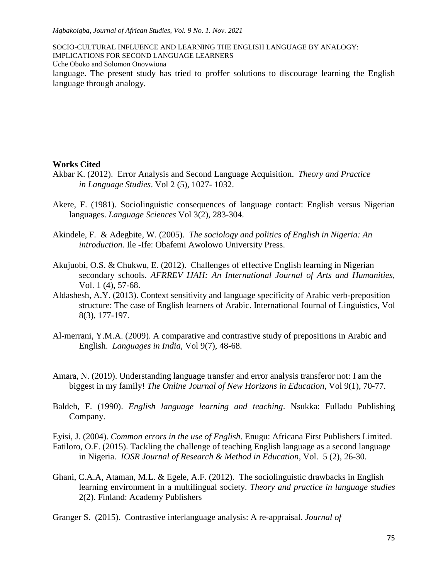SOCIO-CULTURAL INFLUENCE AND LEARNING THE ENGLISH LANGUAGE BY ANALOGY: IMPLICATIONS FOR SECOND LANGUAGE LEARNERS Uche Oboko and Solomon Onovwiona language. The present study has tried to proffer solutions to discourage learning the English language through analogy.

#### **Works Cited**

- Akbar K. (2012). Error Analysis and Second Language Acquisition. *Theory and Practice in Language Studies*. Vol 2 (5), 1027- 1032.
- Akere, F. (1981). Sociolinguistic consequences of language contact: English versus Nigerian languages. *Language Sciences* Vol 3(2), 283-304.
- Akindele, F. & Adegbite, W. (2005). *The sociology and politics of English in Nigeria: An introduction.* Ile -Ife: Obafemi Awolowo University Press.
- Akujuobi, O.S. & Chukwu, E. (2012). Challenges of effective English learning in Nigerian secondary schools. *AFRREV IJAH: An International Journal of Arts and Humanities,*  Vol. 1 (4), 57-68.
- Aldashesh, A.Y. (2013). Context sensitivity and language specificity of Arabic verb-preposition structure: The case of English learners of Arabic. International Journal of Linguistics, Vol 8(3), 177-197.
- Al-merrani, Y.M.A. (2009). A comparative and contrastive study of prepositions in Arabic and English. *Languages in India,* Vol 9(7), 48-68.
- Amara, N. (2019). Understanding language transfer and error analysis transferor not: I am the biggest in my family! *The Online Journal of New Horizons in Education,* Vol 9(1), 70-77.
- Baldeh, F. (1990). *English language learning and teaching*. Nsukka: Fulladu Publishing Company.

Eyisi, J. (2004). *Common errors in the use of English*. Enugu: Africana First Publishers Limited. Fatiloro, O.F. (2015). Tackling the challenge of teaching English language as a second language in Nigeria. *IOSR Journal of Research & Method in Education*, Vol. 5 (2), 26-30.

- Ghani, C.A.A, Ataman, M.L. & Egele, A.F. (2012). The sociolinguistic drawbacks in English learning environment in a multilingual society. *Theory and practice in language studies* 2(2). Finland: Academy Publishers
- Granger S. (2015). Contrastive interlanguage analysis: A re-appraisal. *Journal of*